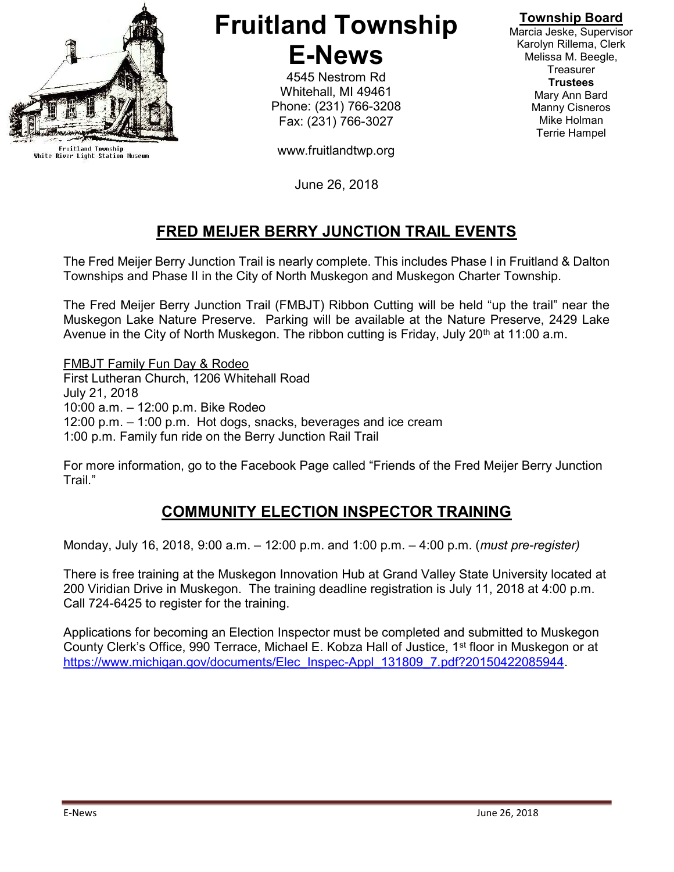

Fruitland Township<br>White River Light Station Museum

# Fruitland Township E-News

4545 Nestrom Rd Whitehall, MI 49461 Phone: (231) 766-3208 Fax: (231) 766-3027

www.fruitlandtwp.org

June 26, 2018

# FRED MEIJER BERRY JUNCTION TRAIL EVENTS

The Fred Meijer Berry Junction Trail is nearly complete. This includes Phase I in Fruitland & Dalton Townships and Phase II in the City of North Muskegon and Muskegon Charter Township.

The Fred Meijer Berry Junction Trail (FMBJT) Ribbon Cutting will be held "up the trail" near the Muskegon Lake Nature Preserve. Parking will be available at the Nature Preserve, 2429 Lake Avenue in the City of North Muskegon. The ribbon cutting is Friday, July 20<sup>th</sup> at 11:00 a.m.

FMBJT Family Fun Day & Rodeo First Lutheran Church, 1206 Whitehall Road July 21, 2018 10:00 a.m. – 12:00 p.m. Bike Rodeo 12:00 p.m. – 1:00 p.m. Hot dogs, snacks, beverages and ice cream 1:00 p.m. Family fun ride on the Berry Junction Rail Trail

For more information, go to the Facebook Page called "Friends of the Fred Meijer Berry Junction Trail."

## COMMUNITY ELECTION INSPECTOR TRAINING

Monday, July 16, 2018, 9:00 a.m. – 12:00 p.m. and 1:00 p.m. – 4:00 p.m. (must pre-register)

There is free training at the Muskegon Innovation Hub at Grand Valley State University located at 200 Viridian Drive in Muskegon. The training deadline registration is July 11, 2018 at 4:00 p.m. Call 724-6425 to register for the training.

Applications for becoming an Election Inspector must be completed and submitted to Muskegon County Clerk's Office, 990 Terrace, Michael E. Kobza Hall of Justice, 1st floor in Muskegon or at https://www.michigan.gov/documents/Elec\_Inspec-Appl\_131809\_7.pdf?20150422085944.

Township Board

Marcia Jeske, Supervisor Karolyn Rillema, Clerk Melissa M. Beegle, **Treasurer Trustees** Mary Ann Bard Manny Cisneros Mike Holman Terrie Hampel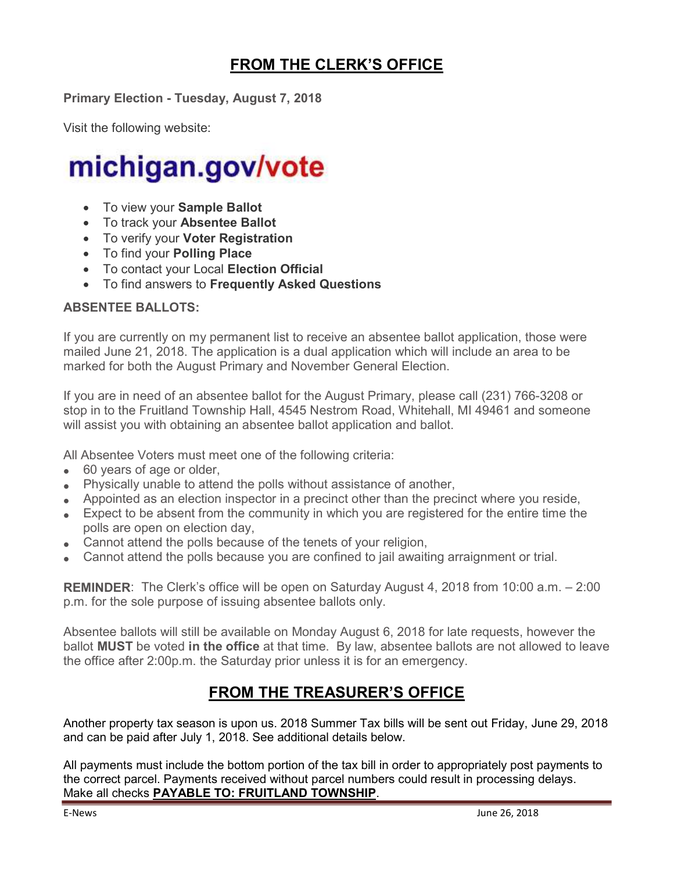# FROM THE CLERK'S OFFICE

Primary Election - Tuesday, August 7, 2018

Visit the following website:

# michigan.gov/vote

- To view your Sample Ballot
- To track your Absentee Ballot
- To verify your Voter Registration
- To find your Polling Place
- To contact your Local Election Official
- To find answers to Frequently Asked Questions

#### ABSENTEE BALLOTS:

If you are currently on my permanent list to receive an absentee ballot application, those were mailed June 21, 2018. The application is a dual application which will include an area to be marked for both the August Primary and November General Election.

If you are in need of an absentee ballot for the August Primary, please call (231) 766-3208 or stop in to the Fruitland Township Hall, 4545 Nestrom Road, Whitehall, MI 49461 and someone will assist you with obtaining an absentee ballot application and ballot.

All Absentee Voters must meet one of the following criteria:

- 60 years of age or older,
- Physically unable to attend the polls without assistance of another,
- Appointed as an election inspector in a precinct other than the precinct where you reside,
- Expect to be absent from the community in which you are registered for the entire time the polls are open on election day,
- Cannot attend the polls because of the tenets of your religion,
- Cannot attend the polls because you are confined to jail awaiting arraignment or trial.

REMINDER: The Clerk's office will be open on Saturday August 4, 2018 from 10:00 a.m. – 2:00 p.m. for the sole purpose of issuing absentee ballots only.

Absentee ballots will still be available on Monday August 6, 2018 for late requests, however the ballot **MUST** be voted in the office at that time. By law, absentee ballots are not allowed to leave the office after 2:00p.m. the Saturday prior unless it is for an emergency.

### FROM THE TREASURER'S OFFICE

Another property tax season is upon us. 2018 Summer Tax bills will be sent out Friday, June 29, 2018 and can be paid after July 1, 2018. See additional details below.

All payments must include the bottom portion of the tax bill in order to appropriately post payments to the correct parcel. Payments received without parcel numbers could result in processing delays. Make all checks PAYABLE TO: FRUITLAND TOWNSHIP.